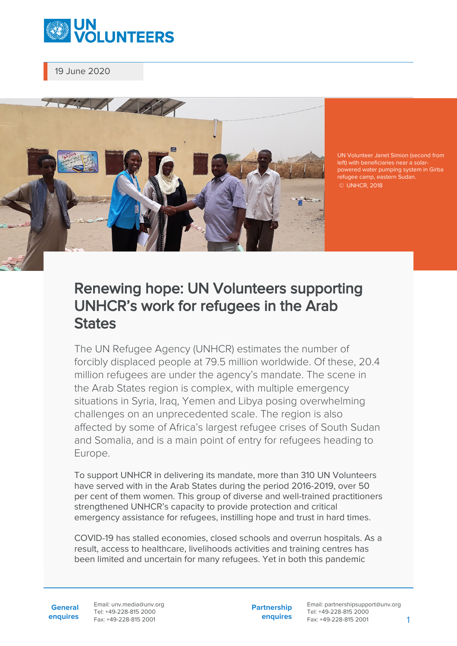

19 June 2020



UN Volunteer Janet Simion (second from powered water pumping system in Girba refugee camp, eastern Sudan. © UNHCR, 2018

## Renewing hope: UN Volunteers supporting UNHCR's work for refugees in the Arab **States**

The UN Refugee Agency (UNHCR) estimates the number of forcibly displaced people at 79.5 million worldwide. Of these, 20.4 million refugees are under the agency's mandate. The scene in the Arab States region is complex, with multiple emergency situations in Syria, Iraq, Yemen and Libya posing overwhelming challenges on an unprecedented scale. The region is also affected by some of Africa's largest refugee crises of South Sudan and Somalia, and is a main point of entry for refugees heading to Europe.

To support UNHCR in delivering its mandate, more than 310 UN Volunteers have served with in the Arab States during the period 2016-2019, over 50 per cent of them women. This group of diverse and well-trained practitioners strengthened UNHCR's capacity to provide protection and critical emergency assistance for refugees, instilling hope and trust in hard times.

COVID-19 has stalled economies, closed schools and overrun hospitals. As a result, access to healthcare, livelihoods activities and training centres has been limited and uncertain for many refugees. Yet in both this pandemic

**General enquires** Email: unv.media@unv.org Tel: +49-228-815 2000 Fax: +49-228-815 2001

**Partnership enquires**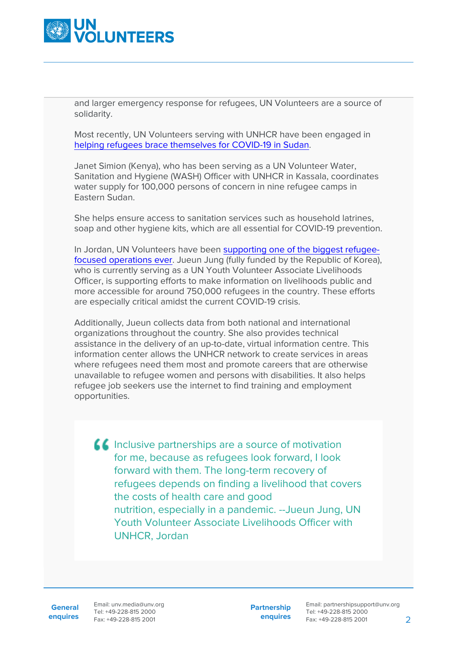

and larger emergency response for refugees, UN Volunteers are a source of solidarity.

Most recently, UN Volunteers serving with UNHCR have been engaged in [helping refugees brace themselves for COVID-19 in Sudan.](https://www.unv.org/Success-stories/Helping-refugees-brace-themselves-COVID-19-Sudan)

Janet Simion (Kenya), who has been serving as a UN Volunteer Water, Sanitation and Hygiene (WASH) Officer with UNHCR in Kassala, coordinates water supply for 100,000 persons of concern in nine refugee camps in Eastern Sudan.

She helps ensure access to sanitation services such as household latrines, soap and other hygiene kits, which are all essential for COVID-19 prevention.

In Jordan, UN Volunteers have been [supporting one of the biggest refugee](https://www.unv.org/Our-stories/Jordan-supporting-one-biggest-refugee-focused-operations-ever)[focused operations ever](https://www.unv.org/Our-stories/Jordan-supporting-one-biggest-refugee-focused-operations-ever). Jueun Jung (fully funded by the Republic of Korea), who is currently serving as a UN Youth Volunteer Associate Livelihoods Officer, is supporting efforts to make information on livelihoods public and more accessible for around 750,000 refugees in the country. These efforts are especially critical amidst the current COVID-19 crisis.

Additionally, Jueun collects data from both national and international organizations throughout the country. She also provides technical assistance in the delivery of an up-to-date, virtual information centre. This information center allows the UNHCR network to create services in areas where refugees need them most and promote careers that are otherwise unavailable to refugee women and persons with disabilities. It also helps refugee job seekers use the internet to find training and employment opportunities.

**If** Inclusive partnerships are a source of motivation for me, because as refugees look forward, I look forward with them. The long-term recovery of refugees depends on finding a livelihood that covers the costs of health care and good nutrition, especially in a pandemic. --Jueun Jung, UN Youth Volunteer Associate Livelihoods Officer with UNHCR, Jordan

**General**

**enquires** Fax: +49-228-815 2001 Email: unv.media@unv.org Tel: +49-228-815 2000

**Partnership enquires**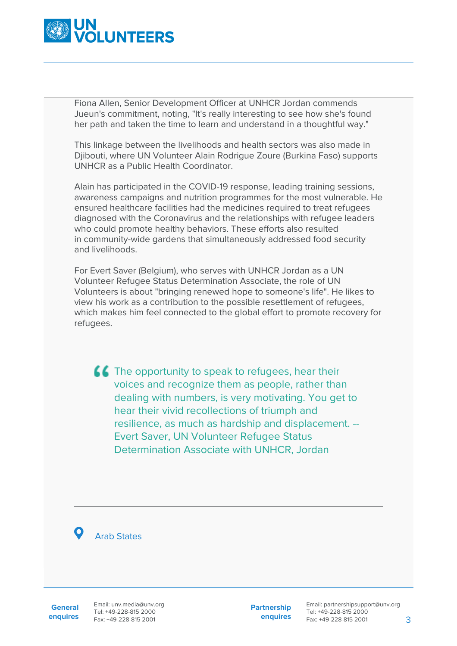

Fiona Allen, Senior Development Officer at UNHCR Jordan commends Jueun's commitment, noting, "It's really interesting to see how she's found her path and taken the time to learn and understand in a thoughtful way."

This linkage between the livelihoods and health sectors was also made in Djibouti, where UN Volunteer Alain Rodrigue Zoure (Burkina Faso) supports UNHCR as a Public Health Coordinator.

Alain has participated in the COVID-19 response, leading training sessions, awareness campaigns and nutrition programmes for the most vulnerable. He ensured healthcare facilities had the medicines required to treat refugees diagnosed with the Coronavirus and the relationships with refugee leaders who could promote healthy behaviors. These efforts also resulted in community-wide gardens that simultaneously addressed food security and livelihoods.

For Evert Saver (Belgium), who serves with UNHCR Jordan as a UN Volunteer Refugee Status Determination Associate, the role of UN Volunteers is about "bringing renewed hope to someone's life". He likes to view his work as a contribution to the possible resettlement of refugees, which makes him feel connected to the global effort to promote recovery for refugees.

**CC** The opportunity to speak to refugees, hear their voices and recognize them as people, rather than dealing with numbers, is very motivating. You get to hear their vivid recollections of triumph and resilience, as much as hardship and displacement. -- Evert Saver, UN Volunteer Refugee Status Determination Associate with UNHCR, Jordan

Arab States

**General enquires** Email: unv.media@unv.org Tel: +49-228-815 2000 Fax: +49-228-815 2001

**Partnership enquires**